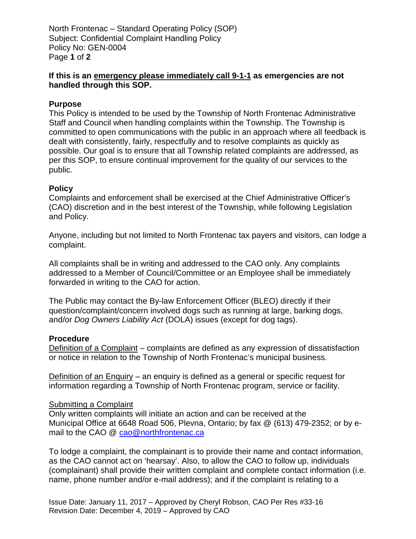North Frontenac – Standard Operating Policy (SOP) Subject: Confidential Complaint Handling Policy Policy No: GEN-0004 Page **1** of **2**

# **If this is an emergency please immediately call 9-1-1 as emergencies are not handled through this SOP.**

## **Purpose**

This Policy is intended to be used by the Township of North Frontenac Administrative Staff and Council when handling complaints within the Township. The Township is committed to open communications with the public in an approach where all feedback is dealt with consistently, fairly, respectfully and to resolve complaints as quickly as possible. Our goal is to ensure that all Township related complaints are addressed, as per this SOP, to ensure continual improvement for the quality of our services to the public.

### **Policy**

Complaints and enforcement shall be exercised at the Chief Administrative Officer's (CAO) discretion and in the best interest of the Township, while following Legislation and Policy.

Anyone, including but not limited to North Frontenac tax payers and visitors, can lodge a complaint.

All complaints shall be in writing and addressed to the CAO only. Any complaints addressed to a Member of Council/Committee or an Employee shall be immediately forwarded in writing to the CAO for action.

The Public may contact the By-law Enforcement Officer (BLEO) directly if their question/complaint/concern involved dogs such as running at large, barking dogs, and/or *Dog Owners Liability Act* (DOLA) issues (except for dog tags).

### **Procedure**

Definition of a Complaint – complaints are defined as any expression of dissatisfaction or notice in relation to the Township of North Frontenac's municipal business.

Definition of an Enquiry – an enquiry is defined as a general or specific request for information regarding a Township of North Frontenac program, service or facility.

### Submitting a Complaint

Only written complaints will initiate an action and can be received at the Municipal Office at 6648 Road 506, Plevna, Ontario; by fax @ (613) 479-2352; or by email to the CAO @ cao@northfrontenac.ca

To lodge a complaint, the complainant is to provide their name and contact information, as the CAO cannot act on 'hearsay'. Also, to allow the CAO to follow up, individuals (complainant) shall provide their written complaint and complete contact information (i.e. name, phone number and/or e-mail address); and if the complaint is relating to a